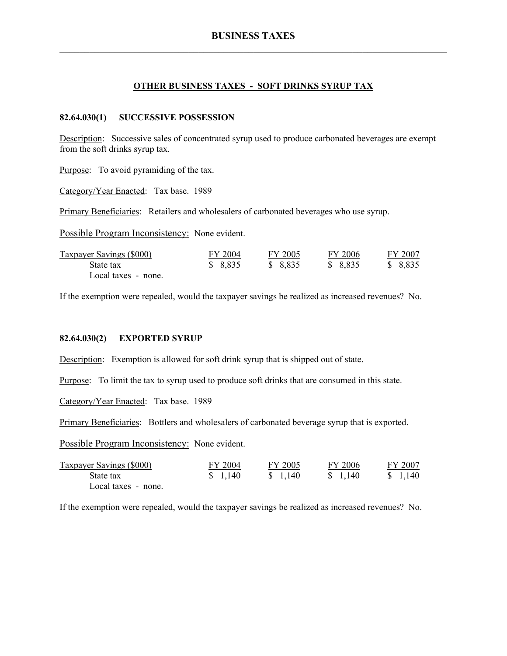#### **OTHER BUSINESS TAXES - SOFT DRINKS SYRUP TAX**

#### **82.64.030(1) SUCCESSIVE POSSESSION**

Description: Successive sales of concentrated syrup used to produce carbonated beverages are exempt from the soft drinks syrup tax.

Purpose: To avoid pyramiding of the tax.

Category/Year Enacted: Tax base. 1989

Primary Beneficiaries: Retailers and wholesalers of carbonated beverages who use syrup.

Possible Program Inconsistency: None evident.

| Taxpayer Savings (\$000) | FY 2004 | FY 2005  | FY 2006  | FY 2007 |
|--------------------------|---------|----------|----------|---------|
| State tax                | \$8,835 | \$ 8,835 | \$ 8.835 | \$8,835 |
| Local taxes - none.      |         |          |          |         |

If the exemption were repealed, would the taxpayer savings be realized as increased revenues? No.

#### **82.64.030(2) EXPORTED SYRUP**

Description: Exemption is allowed for soft drink syrup that is shipped out of state.

Purpose: To limit the tax to syrup used to produce soft drinks that are consumed in this state.

Category/Year Enacted: Tax base. 1989

Primary Beneficiaries: Bottlers and wholesalers of carbonated beverage syrup that is exported.

Possible Program Inconsistency: None evident.

| <b>Taxpayer Savings (\$000)</b> | FY 2004 | FY 2005  | FY 2006  | FY 2007 |
|---------------------------------|---------|----------|----------|---------|
| State tax                       | \$1,140 | \$ 1,140 | \$ 1.140 | \$1,140 |
| Local taxes - none.             |         |          |          |         |

If the exemption were repealed, would the taxpayer savings be realized as increased revenues? No.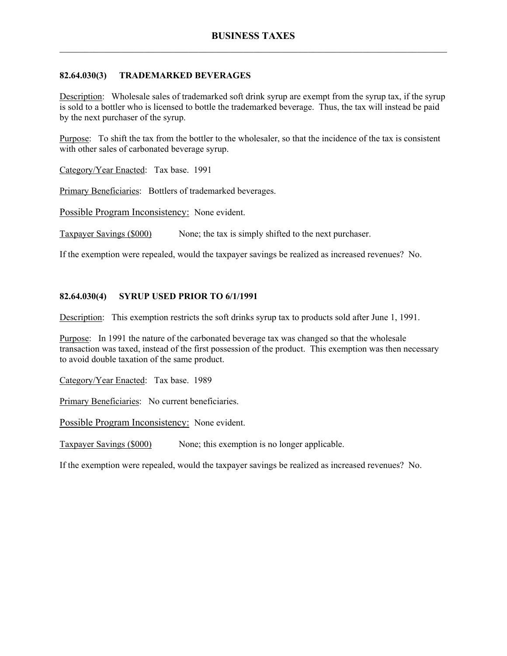# **82.64.030(3) TRADEMARKED BEVERAGES**

Description: Wholesale sales of trademarked soft drink syrup are exempt from the syrup tax, if the syrup is sold to a bottler who is licensed to bottle the trademarked beverage. Thus, the tax will instead be paid by the next purchaser of the syrup.

Purpose: To shift the tax from the bottler to the wholesaler, so that the incidence of the tax is consistent with other sales of carbonated beverage syrup.

Category/Year Enacted: Tax base. 1991

Primary Beneficiaries: Bottlers of trademarked beverages.

Possible Program Inconsistency: None evident.

Taxpayer Savings (\$000) None; the tax is simply shifted to the next purchaser.

If the exemption were repealed, would the taxpayer savings be realized as increased revenues? No.

# **82.64.030(4) SYRUP USED PRIOR TO 6/1/1991**

Description: This exemption restricts the soft drinks syrup tax to products sold after June 1, 1991.

Purpose: In 1991 the nature of the carbonated beverage tax was changed so that the wholesale transaction was taxed, instead of the first possession of the product. This exemption was then necessary to avoid double taxation of the same product.

Category/Year Enacted: Tax base. 1989

Primary Beneficiaries: No current beneficiaries.

Possible Program Inconsistency: None evident.

Taxpayer Savings (\$000) None; this exemption is no longer applicable.

If the exemption were repealed, would the taxpayer savings be realized as increased revenues? No.